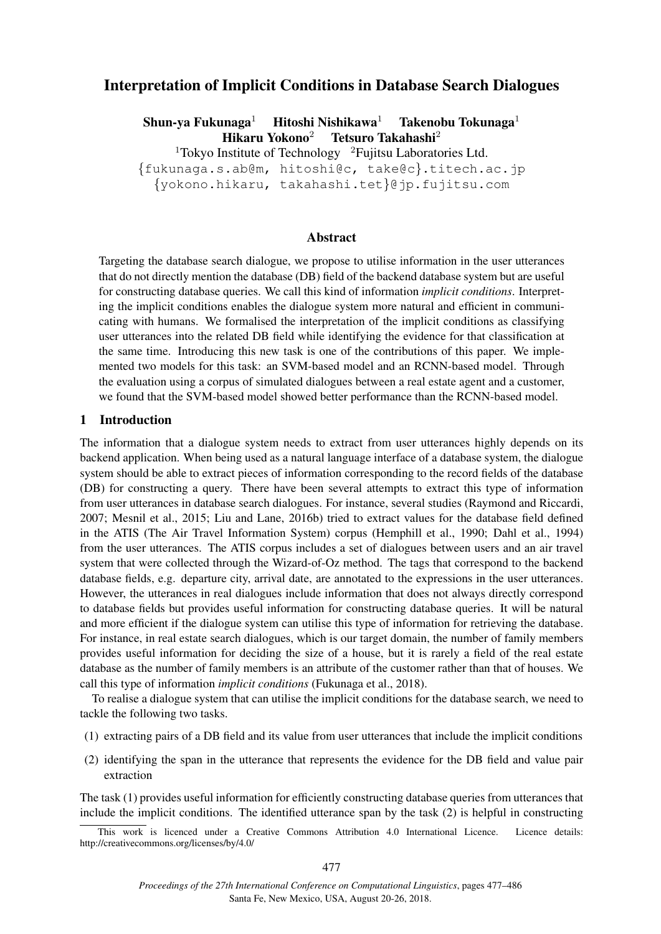# Interpretation of Implicit Conditions in Database Search Dialogues

Shun-ya Fukunaga<sup>1</sup> Hitoshi Nishikawa<sup>1</sup> Takenobu Tokunaga<sup>1</sup> Hikaru Yokono<sup>2</sup> Tetsuro Takahashi<sup>2</sup>

<sup>1</sup>Tokyo Institute of Technology  $2$ Fujitsu Laboratories Ltd.

{fukunaga.s.ab@m, hitoshi@c, take@c}.titech.ac.jp

{yokono.hikaru, takahashi.tet}@jp.fujitsu.com

## Abstract

Targeting the database search dialogue, we propose to utilise information in the user utterances that do not directly mention the database (DB) field of the backend database system but are useful for constructing database queries. We call this kind of information *implicit conditions*. Interpreting the implicit conditions enables the dialogue system more natural and efficient in communicating with humans. We formalised the interpretation of the implicit conditions as classifying user utterances into the related DB field while identifying the evidence for that classification at the same time. Introducing this new task is one of the contributions of this paper. We implemented two models for this task: an SVM-based model and an RCNN-based model. Through the evaluation using a corpus of simulated dialogues between a real estate agent and a customer, we found that the SVM-based model showed better performance than the RCNN-based model.

## 1 Introduction

The information that a dialogue system needs to extract from user utterances highly depends on its backend application. When being used as a natural language interface of a database system, the dialogue system should be able to extract pieces of information corresponding to the record fields of the database (DB) for constructing a query. There have been several attempts to extract this type of information from user utterances in database search dialogues. For instance, several studies (Raymond and Riccardi, 2007; Mesnil et al., 2015; Liu and Lane, 2016b) tried to extract values for the database field defined in the ATIS (The Air Travel Information System) corpus (Hemphill et al., 1990; Dahl et al., 1994) from the user utterances. The ATIS corpus includes a set of dialogues between users and an air travel system that were collected through the Wizard-of-Oz method. The tags that correspond to the backend database fields, e.g. departure city, arrival date, are annotated to the expressions in the user utterances. However, the utterances in real dialogues include information that does not always directly correspond to database fields but provides useful information for constructing database queries. It will be natural and more efficient if the dialogue system can utilise this type of information for retrieving the database. For instance, in real estate search dialogues, which is our target domain, the number of family members provides useful information for deciding the size of a house, but it is rarely a field of the real estate database as the number of family members is an attribute of the customer rather than that of houses. We call this type of information *implicit conditions* (Fukunaga et al., 2018).

To realise a dialogue system that can utilise the implicit conditions for the database search, we need to tackle the following two tasks.

- (1) extracting pairs of a DB field and its value from user utterances that include the implicit conditions
- (2) identifying the span in the utterance that represents the evidence for the DB field and value pair extraction

The task (1) provides useful information for efficiently constructing database queries from utterances that include the implicit conditions. The identified utterance span by the task (2) is helpful in constructing

This work is licenced under a Creative Commons Attribution 4.0 International Licence. Licence details: http://creativecommons.org/licenses/by/4.0/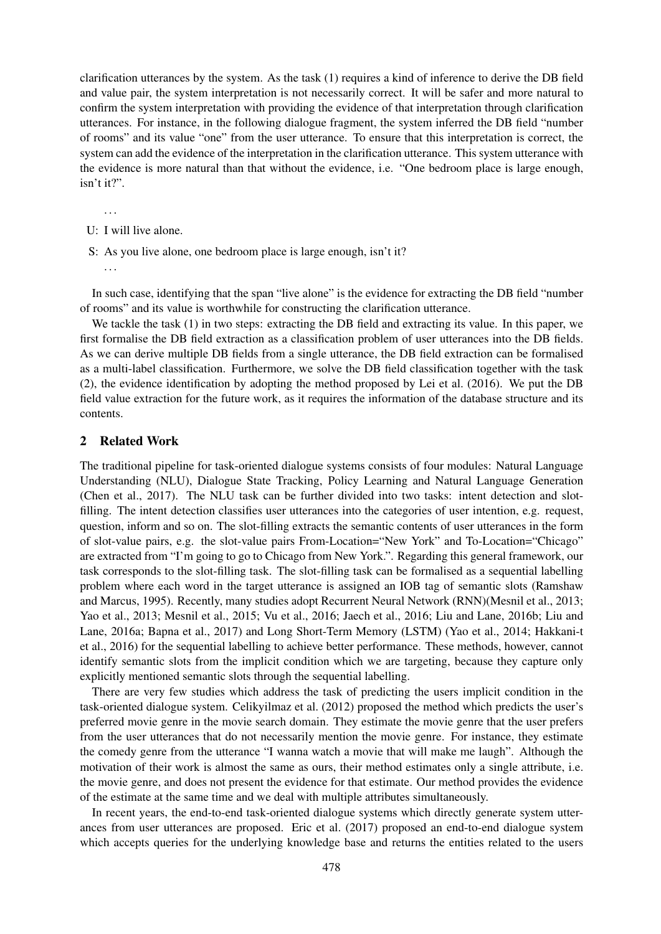clarification utterances by the system. As the task (1) requires a kind of inference to derive the DB field and value pair, the system interpretation is not necessarily correct. It will be safer and more natural to confirm the system interpretation with providing the evidence of that interpretation through clarification utterances. For instance, in the following dialogue fragment, the system inferred the DB field "number of rooms" and its value "one" from the user utterance. To ensure that this interpretation is correct, the system can add the evidence of the interpretation in the clarification utterance. This system utterance with the evidence is more natural than that without the evidence, i.e. "One bedroom place is large enough, isn't it?".

. . .

- U: I will live alone.
- S: As you live alone, one bedroom place is large enough, isn't it?

. . .

In such case, identifying that the span "live alone" is the evidence for extracting the DB field "number of rooms" and its value is worthwhile for constructing the clarification utterance.

We tackle the task (1) in two steps: extracting the DB field and extracting its value. In this paper, we first formalise the DB field extraction as a classification problem of user utterances into the DB fields. As we can derive multiple DB fields from a single utterance, the DB field extraction can be formalised as a multi-label classification. Furthermore, we solve the DB field classification together with the task (2), the evidence identification by adopting the method proposed by Lei et al. (2016). We put the DB field value extraction for the future work, as it requires the information of the database structure and its contents.

## 2 Related Work

The traditional pipeline for task-oriented dialogue systems consists of four modules: Natural Language Understanding (NLU), Dialogue State Tracking, Policy Learning and Natural Language Generation (Chen et al., 2017). The NLU task can be further divided into two tasks: intent detection and slotfilling. The intent detection classifies user utterances into the categories of user intention, e.g. request, question, inform and so on. The slot-filling extracts the semantic contents of user utterances in the form of slot-value pairs, e.g. the slot-value pairs From-Location="New York" and To-Location="Chicago" are extracted from "I'm going to go to Chicago from New York.". Regarding this general framework, our task corresponds to the slot-filling task. The slot-filling task can be formalised as a sequential labelling problem where each word in the target utterance is assigned an IOB tag of semantic slots (Ramshaw and Marcus, 1995). Recently, many studies adopt Recurrent Neural Network (RNN)(Mesnil et al., 2013; Yao et al., 2013; Mesnil et al., 2015; Vu et al., 2016; Jaech et al., 2016; Liu and Lane, 2016b; Liu and Lane, 2016a; Bapna et al., 2017) and Long Short-Term Memory (LSTM) (Yao et al., 2014; Hakkani-t et al., 2016) for the sequential labelling to achieve better performance. These methods, however, cannot identify semantic slots from the implicit condition which we are targeting, because they capture only explicitly mentioned semantic slots through the sequential labelling.

There are very few studies which address the task of predicting the users implicit condition in the task-oriented dialogue system. Celikyilmaz et al. (2012) proposed the method which predicts the user's preferred movie genre in the movie search domain. They estimate the movie genre that the user prefers from the user utterances that do not necessarily mention the movie genre. For instance, they estimate the comedy genre from the utterance "I wanna watch a movie that will make me laugh". Although the motivation of their work is almost the same as ours, their method estimates only a single attribute, i.e. the movie genre, and does not present the evidence for that estimate. Our method provides the evidence of the estimate at the same time and we deal with multiple attributes simultaneously.

In recent years, the end-to-end task-oriented dialogue systems which directly generate system utterances from user utterances are proposed. Eric et al. (2017) proposed an end-to-end dialogue system which accepts queries for the underlying knowledge base and returns the entities related to the users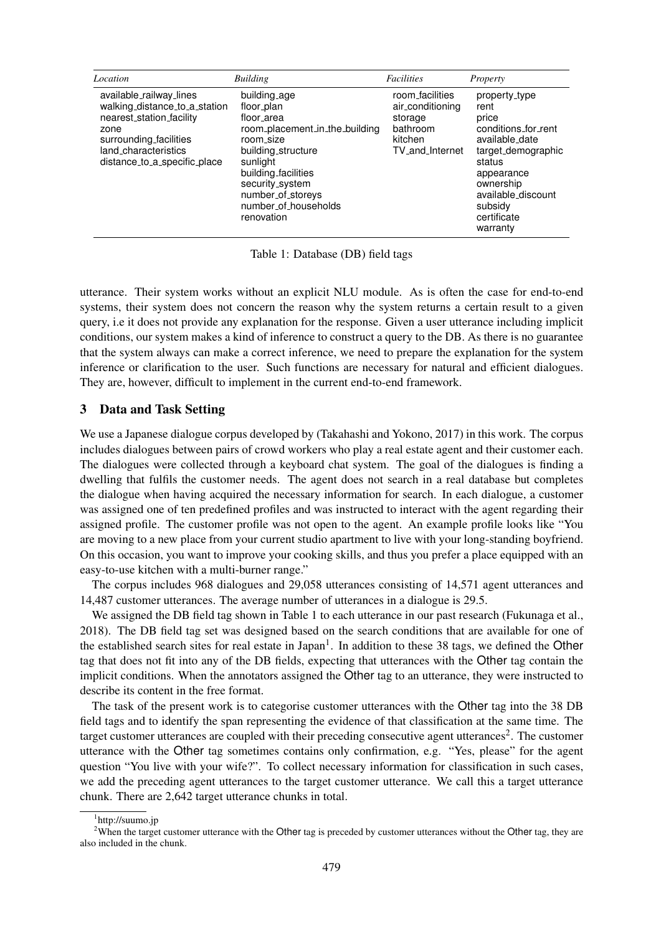| Location                                                                                                                                                                       | <b>Building</b>                                                                                                                                                                                                                | <b>Facilities</b>                                                                        | Property                                                                                                                                                                                       |
|--------------------------------------------------------------------------------------------------------------------------------------------------------------------------------|--------------------------------------------------------------------------------------------------------------------------------------------------------------------------------------------------------------------------------|------------------------------------------------------------------------------------------|------------------------------------------------------------------------------------------------------------------------------------------------------------------------------------------------|
| available_railway_lines<br>walking_distance_to_a_station<br>nearest_station_facility<br>zone<br>surrounding_facilities<br>land_characteristics<br>distance_to_a_specific_place | building_age<br>floor_plan<br>floor_area<br>room_placement_in_the_building<br>room_size<br>building_structure<br>sunlight<br>building facilities<br>security_system<br>number_of_storeys<br>number_of_households<br>renovation | room_facilities<br>air_conditioning<br>storage<br>bathroom<br>kitchen<br>TV_and_Internet | property_type<br>rent<br>price<br>conditions_for_rent<br>available_date<br>target_demographic<br>status<br>appearance<br>ownership<br>available_discount<br>subsidy<br>certificate<br>warranty |

Table 1: Database (DB) field tags

utterance. Their system works without an explicit NLU module. As is often the case for end-to-end systems, their system does not concern the reason why the system returns a certain result to a given query, i.e it does not provide any explanation for the response. Given a user utterance including implicit conditions, our system makes a kind of inference to construct a query to the DB. As there is no guarantee that the system always can make a correct inference, we need to prepare the explanation for the system inference or clarification to the user. Such functions are necessary for natural and efficient dialogues. They are, however, difficult to implement in the current end-to-end framework.

## 3 Data and Task Setting

We use a Japanese dialogue corpus developed by (Takahashi and Yokono, 2017) in this work. The corpus includes dialogues between pairs of crowd workers who play a real estate agent and their customer each. The dialogues were collected through a keyboard chat system. The goal of the dialogues is finding a dwelling that fulfils the customer needs. The agent does not search in a real database but completes the dialogue when having acquired the necessary information for search. In each dialogue, a customer was assigned one of ten predefined profiles and was instructed to interact with the agent regarding their assigned profile. The customer profile was not open to the agent. An example profile looks like "You are moving to a new place from your current studio apartment to live with your long-standing boyfriend. On this occasion, you want to improve your cooking skills, and thus you prefer a place equipped with an easy-to-use kitchen with a multi-burner range."

The corpus includes 968 dialogues and 29,058 utterances consisting of 14,571 agent utterances and 14,487 customer utterances. The average number of utterances in a dialogue is 29.5.

We assigned the DB field tag shown in Table 1 to each utterance in our past research (Fukunaga et al., 2018). The DB field tag set was designed based on the search conditions that are available for one of the established search sites for real estate in Japan<sup>1</sup>. In addition to these 38 tags, we defined the Other tag that does not fit into any of the DB fields, expecting that utterances with the Other tag contain the implicit conditions. When the annotators assigned the Other tag to an utterance, they were instructed to describe its content in the free format.

The task of the present work is to categorise customer utterances with the Other tag into the 38 DB field tags and to identify the span representing the evidence of that classification at the same time. The target customer utterances are coupled with their preceding consecutive agent utterances<sup>2</sup>. The customer utterance with the Other tag sometimes contains only confirmation, e.g. "Yes, please" for the agent question "You live with your wife?". To collect necessary information for classification in such cases, we add the preceding agent utterances to the target customer utterance. We call this a target utterance chunk. There are 2,642 target utterance chunks in total.

<sup>1</sup> http://suumo.jp

<sup>&</sup>lt;sup>2</sup>When the target customer utterance with the Other tag is preceded by customer utterances without the Other tag, they are also included in the chunk.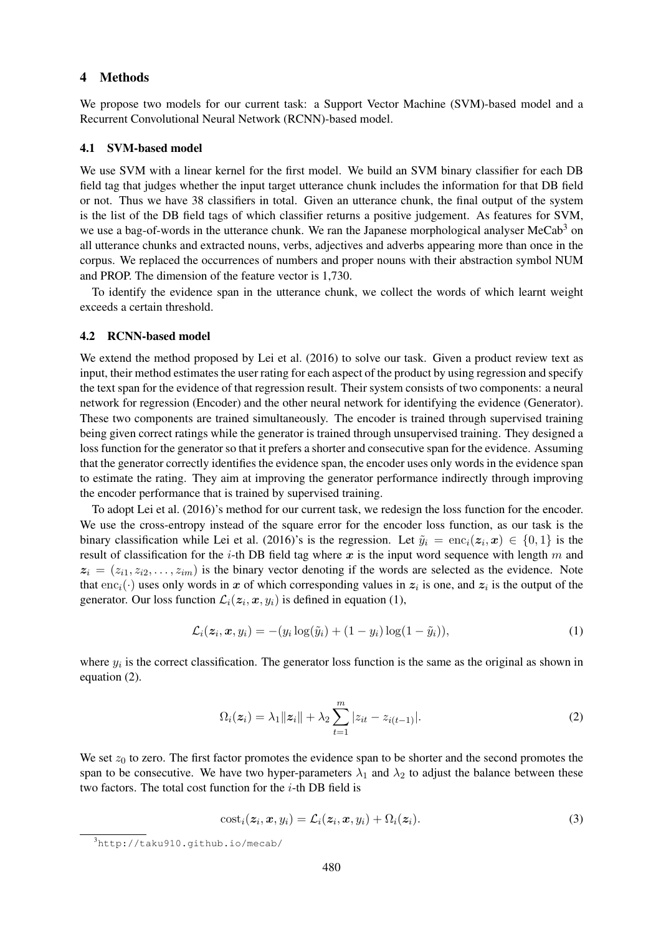### 4 Methods

We propose two models for our current task: a Support Vector Machine (SVM)-based model and a Recurrent Convolutional Neural Network (RCNN)-based model.

#### 4.1 SVM-based model

We use SVM with a linear kernel for the first model. We build an SVM binary classifier for each DB field tag that judges whether the input target utterance chunk includes the information for that DB field or not. Thus we have 38 classifiers in total. Given an utterance chunk, the final output of the system is the list of the DB field tags of which classifier returns a positive judgement. As features for SVM, we use a bag-of-words in the utterance chunk. We ran the Japanese morphological analyser MeCab<sup>3</sup> on all utterance chunks and extracted nouns, verbs, adjectives and adverbs appearing more than once in the corpus. We replaced the occurrences of numbers and proper nouns with their abstraction symbol NUM and PROP. The dimension of the feature vector is 1,730.

To identify the evidence span in the utterance chunk, we collect the words of which learnt weight exceeds a certain threshold.

### 4.2 RCNN-based model

We extend the method proposed by Lei et al. (2016) to solve our task. Given a product review text as input, their method estimates the user rating for each aspect of the product by using regression and specify the text span for the evidence of that regression result. Their system consists of two components: a neural network for regression (Encoder) and the other neural network for identifying the evidence (Generator). These two components are trained simultaneously. The encoder is trained through supervised training being given correct ratings while the generator is trained through unsupervised training. They designed a loss function for the generator so that it prefers a shorter and consecutive span for the evidence. Assuming that the generator correctly identifies the evidence span, the encoder uses only words in the evidence span to estimate the rating. They aim at improving the generator performance indirectly through improving the encoder performance that is trained by supervised training.

To adopt Lei et al. (2016)'s method for our current task, we redesign the loss function for the encoder. We use the cross-entropy instead of the square error for the encoder loss function, as our task is the binary classification while Lei et al. (2016)'s is the regression. Let  $\tilde{y}_i = \text{enc}_i(\boldsymbol{z}_i, \boldsymbol{x}) \in \{0, 1\}$  is the result of classification for the *i*-th DB field tag where  $x$  is the input word sequence with length  $m$  and  $z_i = (z_{i1}, z_{i2}, \ldots, z_{im})$  is the binary vector denoting if the words are selected as the evidence. Note that enc<sub>i</sub>( $\cdot$ ) uses only words in x of which corresponding values in  $z_i$  is one, and  $z_i$  is the output of the generator. Our loss function  $\mathcal{L}_i(z_i, x, y_i)$  is defined in equation (1),

$$
\mathcal{L}_i(\mathbf{z}_i, \mathbf{x}, y_i) = -(y_i \log(\tilde{y}_i) + (1 - y_i) \log(1 - \tilde{y}_i)),\tag{1}
$$

where  $y_i$  is the correct classification. The generator loss function is the same as the original as shown in equation (2).

$$
\Omega_i(z_i) = \lambda_1 \|z_i\| + \lambda_2 \sum_{t=1}^m |z_{it} - z_{i(t-1)}|.
$$
\n(2)

We set  $z_0$  to zero. The first factor promotes the evidence span to be shorter and the second promotes the span to be consecutive. We have two hyper-parameters  $\lambda_1$  and  $\lambda_2$  to adjust the balance between these two factors. The total cost function for the  $i$ -th DB field is

$$
costi(zi, x, yi) = \mathcal{L}i(zi, x, yi) + \Omegai(zi). \t(3)
$$

<sup>3</sup>http://taku910.github.io/mecab/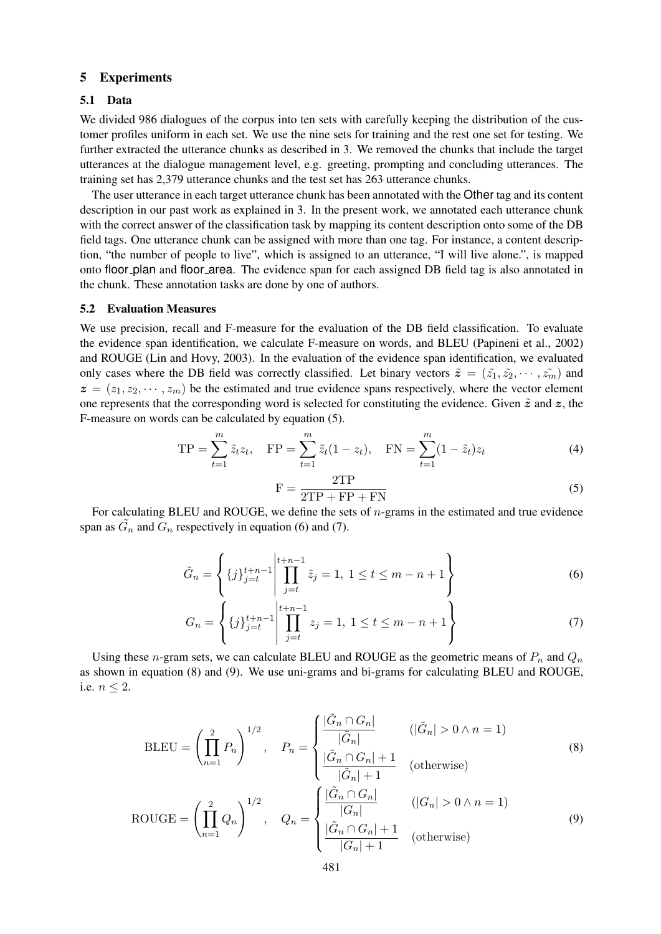## 5 Experiments

#### 5.1 Data

We divided 986 dialogues of the corpus into ten sets with carefully keeping the distribution of the customer profiles uniform in each set. We use the nine sets for training and the rest one set for testing. We further extracted the utterance chunks as described in 3. We removed the chunks that include the target utterances at the dialogue management level, e.g. greeting, prompting and concluding utterances. The training set has 2,379 utterance chunks and the test set has 263 utterance chunks.

The user utterance in each target utterance chunk has been annotated with the Other tag and its content description in our past work as explained in 3. In the present work, we annotated each utterance chunk with the correct answer of the classification task by mapping its content description onto some of the DB field tags. One utterance chunk can be assigned with more than one tag. For instance, a content description, "the number of people to live", which is assigned to an utterance, "I will live alone.", is mapped onto floor plan and floor area. The evidence span for each assigned DB field tag is also annotated in the chunk. These annotation tasks are done by one of authors.

#### 5.2 Evaluation Measures

We use precision, recall and F-measure for the evaluation of the DB field classification. To evaluate the evidence span identification, we calculate F-measure on words, and BLEU (Papineni et al., 2002) and ROUGE (Lin and Hovy, 2003). In the evaluation of the evidence span identification, we evaluated only cases where the DB field was correctly classified. Let binary vectors  $\tilde{z} = (\tilde{z_1}, \tilde{z_2}, \cdots, \tilde{z_m})$  and  $z = (z_1, z_2, \dots, z_m)$  be the estimated and true evidence spans respectively, where the vector element one represents that the corresponding word is selected for constituting the evidence. Given  $\tilde{z}$  and  $z$ , the F-measure on words can be calculated by equation (5).

$$
TP = \sum_{t=1}^{m} \tilde{z}_t z_t, \quad FP = \sum_{t=1}^{m} \tilde{z}_t (1 - z_t), \quad FN = \sum_{t=1}^{m} (1 - \tilde{z}_t) z_t
$$
 (4)

$$
F = \frac{2TP}{2TP + FP + FN}
$$
\n(5)

For calculating BLEU and ROUGE, we define the sets of  $n$ -grams in the estimated and true evidence span as  $\tilde{G}_n$  and  $\tilde{G}_n$  respectively in equation (6) and (7).

$$
\tilde{G}_n = \left\{ \{j\}_{j=t}^{t+n-1} \middle| \prod_{j=t}^{t+n-1} \tilde{z}_j = 1, \ 1 \le t \le m-n+1 \right\}
$$
 (6)

$$
G_n = \left\{ \{j\}_{j=t}^{t+n-1} \middle| \prod_{j=t}^{t+n-1} z_j = 1, \ 1 \le t \le m-n+1 \right\}
$$
 (7)

Using these *n*-gram sets, we can calculate BLEU and ROUGE as the geometric means of  $P_n$  and  $Q_n$ as shown in equation (8) and (9). We use uni-grams and bi-grams for calculating BLEU and ROUGE, i.e.  $n \leq 2$ .

$$
\text{BLEU} = \left(\prod_{n=1}^{2} P_n\right)^{1/2}, \quad P_n = \begin{cases} \frac{|\tilde{G}_n \cap G_n|}{|\tilde{G}_n|} & (\|\tilde{G}_n| > 0 \land n = 1) \\ \frac{|\tilde{G}_n \cap G_n| + 1}{|\tilde{G}_n| + 1} & (\text{otherwise}) \end{cases} \tag{8}
$$

$$
ROUGE = \left(\prod_{n=1}^{2} Q_n\right)^{1/2}, \quad Q_n = \begin{cases} \frac{|\tilde{G}_n \cap G_n|}{|G_n|} & (|G_n| > 0 \land n = 1) \\ \frac{|\tilde{G}_n \cap G_n| + 1}{|G_n| + 1} & (\text{otherwise}) \end{cases}
$$
(9)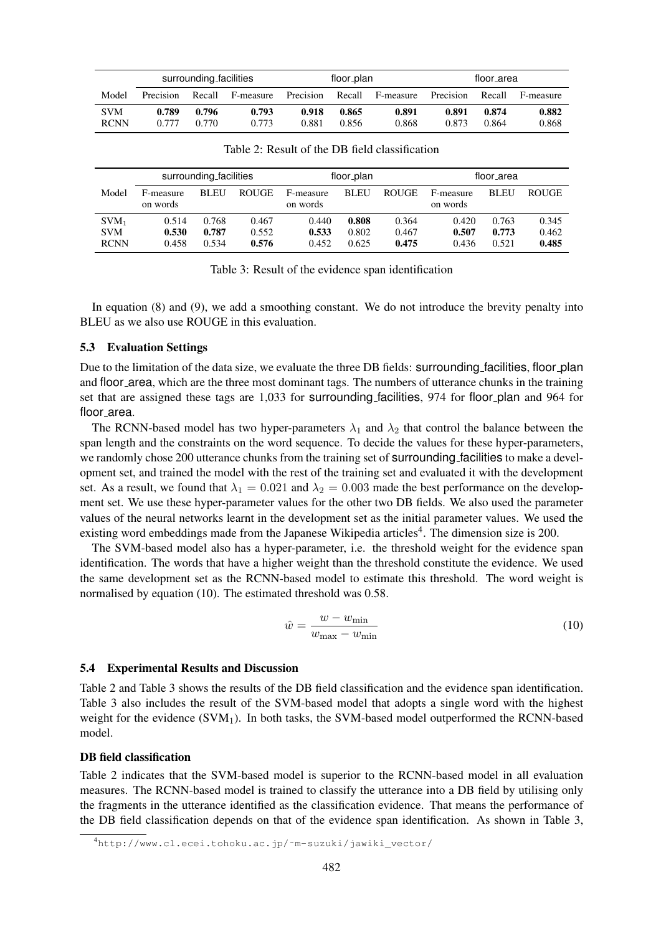|             | surrounding_facilities |        |           | floor_plan |        |           | floor_area |        |           |
|-------------|------------------------|--------|-----------|------------|--------|-----------|------------|--------|-----------|
| Model       | Precision              | Recall | F-measure | Precision  | Recall | F-measure | Precision  | Recall | F-measure |
| <b>SVM</b>  | 0.789                  | 0.796  | 0.793     | 0.918      | 0.865  | 0.891     | 0.891      | 0.874  | 0.882     |
| <b>RCNN</b> | 0.777                  | 0.770  | 0.773     | 0.881      | 0.856  | 0.868     | 0.873      | 0.864  | 0.868     |

Table 2: Result of the DB field classification

|                                      | surrounding_facilities  |                         |                         | floor_plan              |                         |                         | floor_area              |                         |                         |
|--------------------------------------|-------------------------|-------------------------|-------------------------|-------------------------|-------------------------|-------------------------|-------------------------|-------------------------|-------------------------|
| Model                                | F-measure<br>on words   | <b>BLEU</b>             | <b>ROUGE</b>            | F-measure<br>on words   | <b>BLEU</b>             | <b>ROUGE</b>            | F-measure<br>on words   | <b>BLEU</b>             | <b>ROUGE</b>            |
| $SVM_1$<br><b>SVM</b><br><b>RCNN</b> | 0.514<br>0.530<br>0.458 | 0.768<br>0.787<br>0.534 | 0.467<br>0.552<br>0.576 | 0.440<br>0.533<br>0.452 | 0.808<br>0.802<br>0.625 | 0.364<br>0.467<br>0.475 | 0.420<br>0.507<br>0.436 | 0.763<br>0.773<br>0.521 | 0.345<br>0.462<br>0.485 |

Table 3: Result of the evidence span identification

In equation (8) and (9), we add a smoothing constant. We do not introduce the brevity penalty into BLEU as we also use ROUGE in this evaluation.

## 5.3 Evaluation Settings

Due to the limitation of the data size, we evaluate the three DB fields: surrounding facilities, floor plan and floor area, which are the three most dominant tags. The numbers of utterance chunks in the training set that are assigned these tags are 1,033 for surrounding facilities, 974 for floor plan and 964 for floor\_area.

The RCNN-based model has two hyper-parameters  $\lambda_1$  and  $\lambda_2$  that control the balance between the span length and the constraints on the word sequence. To decide the values for these hyper-parameters, we randomly chose 200 utterance chunks from the training set of surrounding facilities to make a development set, and trained the model with the rest of the training set and evaluated it with the development set. As a result, we found that  $\lambda_1 = 0.021$  and  $\lambda_2 = 0.003$  made the best performance on the development set. We use these hyper-parameter values for the other two DB fields. We also used the parameter values of the neural networks learnt in the development set as the initial parameter values. We used the existing word embeddings made from the Japanese Wikipedia articles<sup>4</sup>. The dimension size is 200.

The SVM-based model also has a hyper-parameter, i.e. the threshold weight for the evidence span identification. The words that have a higher weight than the threshold constitute the evidence. We used the same development set as the RCNN-based model to estimate this threshold. The word weight is normalised by equation (10). The estimated threshold was 0.58.

$$
\hat{w} = \frac{w - w_{\text{min}}}{w_{\text{max}} - w_{\text{min}}} \tag{10}
$$

#### 5.4 Experimental Results and Discussion

Table 2 and Table 3 shows the results of the DB field classification and the evidence span identification. Table 3 also includes the result of the SVM-based model that adopts a single word with the highest weight for the evidence  $(SVM<sub>1</sub>)$ . In both tasks, the SVM-based model outperformed the RCNN-based model.

## DB field classification

Table 2 indicates that the SVM-based model is superior to the RCNN-based model in all evaluation measures. The RCNN-based model is trained to classify the utterance into a DB field by utilising only the fragments in the utterance identified as the classification evidence. That means the performance of the DB field classification depends on that of the evidence span identification. As shown in Table 3,

<sup>4</sup>http://www.cl.ecei.tohoku.ac.jp/˜m-suzuki/jawiki\_vector/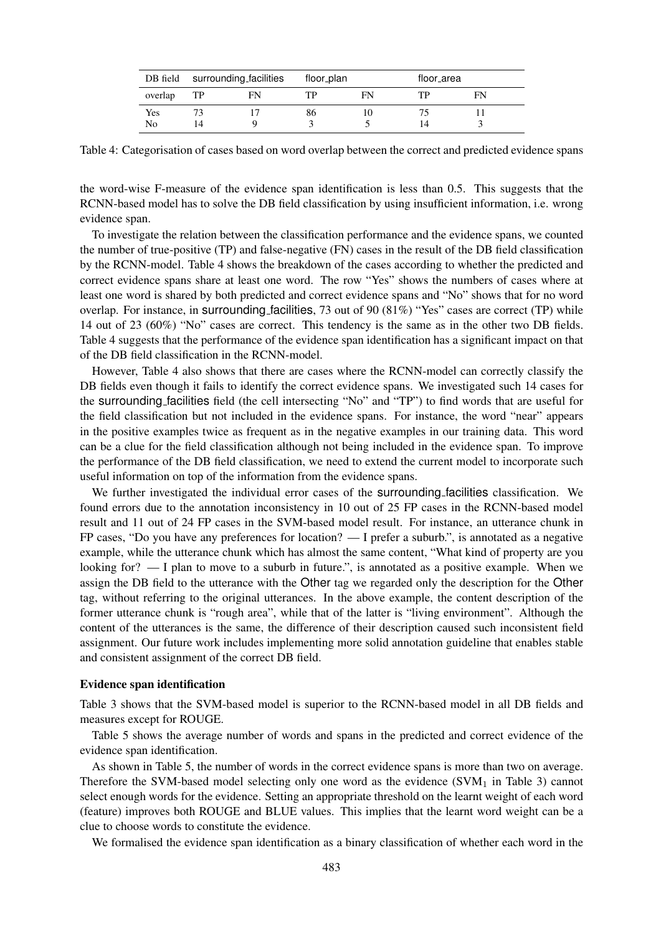|         |    | DB field surrounding facilities | floor_plan |    | floor_area |  |
|---------|----|---------------------------------|------------|----|------------|--|
| overlap | TP | FN                              | ΓP         | FN | FN         |  |
| Yes     |    |                                 | 86         |    |            |  |
| No      | 14 |                                 |            |    |            |  |

Table 4: Categorisation of cases based on word overlap between the correct and predicted evidence spans

the word-wise F-measure of the evidence span identification is less than 0.5. This suggests that the RCNN-based model has to solve the DB field classification by using insufficient information, i.e. wrong evidence span.

To investigate the relation between the classification performance and the evidence spans, we counted the number of true-positive (TP) and false-negative (FN) cases in the result of the DB field classification by the RCNN-model. Table 4 shows the breakdown of the cases according to whether the predicted and correct evidence spans share at least one word. The row "Yes" shows the numbers of cases where at least one word is shared by both predicted and correct evidence spans and "No" shows that for no word overlap. For instance, in surrounding facilities, 73 out of 90 (81%) "Yes" cases are correct (TP) while 14 out of 23 (60%) "No" cases are correct. This tendency is the same as in the other two DB fields. Table 4 suggests that the performance of the evidence span identification has a significant impact on that of the DB field classification in the RCNN-model.

However, Table 4 also shows that there are cases where the RCNN-model can correctly classify the DB fields even though it fails to identify the correct evidence spans. We investigated such 14 cases for the surrounding facilities field (the cell intersecting "No" and "TP") to find words that are useful for the field classification but not included in the evidence spans. For instance, the word "near" appears in the positive examples twice as frequent as in the negative examples in our training data. This word can be a clue for the field classification although not being included in the evidence span. To improve the performance of the DB field classification, we need to extend the current model to incorporate such useful information on top of the information from the evidence spans.

We further investigated the individual error cases of the surrounding facilities classification. We found errors due to the annotation inconsistency in 10 out of 25 FP cases in the RCNN-based model result and 11 out of 24 FP cases in the SVM-based model result. For instance, an utterance chunk in FP cases, "Do you have any preferences for location?  $-1$  prefer a suburb.", is annotated as a negative example, while the utterance chunk which has almost the same content, "What kind of property are you looking for? — I plan to move to a suburb in future.", is annotated as a positive example. When we assign the DB field to the utterance with the Other tag we regarded only the description for the Other tag, without referring to the original utterances. In the above example, the content description of the former utterance chunk is "rough area", while that of the latter is "living environment". Although the content of the utterances is the same, the difference of their description caused such inconsistent field assignment. Our future work includes implementing more solid annotation guideline that enables stable and consistent assignment of the correct DB field.

## Evidence span identification

Table 3 shows that the SVM-based model is superior to the RCNN-based model in all DB fields and measures except for ROUGE.

Table 5 shows the average number of words and spans in the predicted and correct evidence of the evidence span identification.

As shown in Table 5, the number of words in the correct evidence spans is more than two on average. Therefore the SVM-based model selecting only one word as the evidence  $(SVM<sub>1</sub>$  in Table 3) cannot select enough words for the evidence. Setting an appropriate threshold on the learnt weight of each word (feature) improves both ROUGE and BLUE values. This implies that the learnt word weight can be a clue to choose words to constitute the evidence.

We formalised the evidence span identification as a binary classification of whether each word in the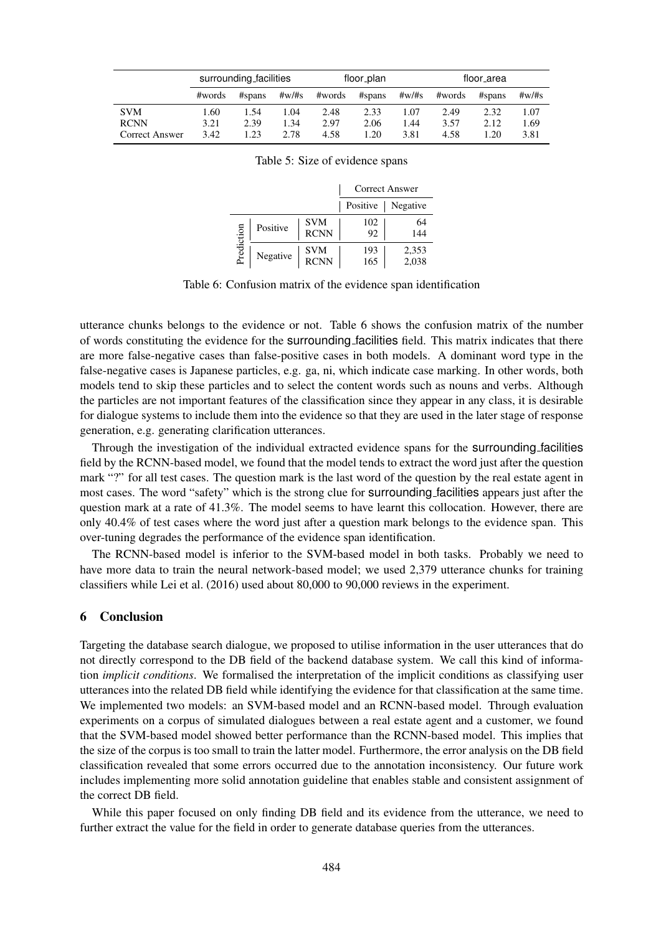|                | surrounding_facilities |        |           | floor_plan |        |           | floor_area |        |           |
|----------------|------------------------|--------|-----------|------------|--------|-----------|------------|--------|-----------|
|                | #words                 | #spans | $\#w/\#s$ | #words     | #spans | $\#w/\#s$ | #words     | #spans | $\#w/\#s$ |
| <b>SVM</b>     | 1.60                   | .54    | 1.04      | 2.48       | 2.33   | 1.07      | 2.49       | 2.32   | 1.07      |
| <b>RCNN</b>    | 3.21                   | 2.39   | 1.34      | 2.97       | 2.06   | 1.44      | 3.57       | 2.12   | 1.69      |
| Correct Answer | 3.42                   | .23    | 2.78      | 4.58       | 1.20   | 3.81      | 4.58       | 1.20   | 3.81      |

| Table 5: Size of evidence spans |  |  |
|---------------------------------|--|--|
|---------------------------------|--|--|

|            |          |                           |            | <b>Correct Answer</b> |
|------------|----------|---------------------------|------------|-----------------------|
|            |          |                           | Positive   | Negative              |
|            | Positive | <b>SVM</b><br><b>RCNN</b> | 102<br>92  | 64<br>144             |
| Prediction | Negative | <b>SVM</b><br><b>RCNN</b> | 193<br>165 | 2,353<br>2,038        |

Table 6: Confusion matrix of the evidence span identification

utterance chunks belongs to the evidence or not. Table 6 shows the confusion matrix of the number of words constituting the evidence for the surrounding facilities field. This matrix indicates that there are more false-negative cases than false-positive cases in both models. A dominant word type in the false-negative cases is Japanese particles, e.g. ga, ni, which indicate case marking. In other words, both models tend to skip these particles and to select the content words such as nouns and verbs. Although the particles are not important features of the classification since they appear in any class, it is desirable for dialogue systems to include them into the evidence so that they are used in the later stage of response generation, e.g. generating clarification utterances.

Through the investigation of the individual extracted evidence spans for the surrounding facilities field by the RCNN-based model, we found that the model tends to extract the word just after the question mark "?" for all test cases. The question mark is the last word of the question by the real estate agent in most cases. The word "safety" which is the strong clue for surrounding facilities appears just after the question mark at a rate of 41.3%. The model seems to have learnt this collocation. However, there are only 40.4% of test cases where the word just after a question mark belongs to the evidence span. This over-tuning degrades the performance of the evidence span identification.

The RCNN-based model is inferior to the SVM-based model in both tasks. Probably we need to have more data to train the neural network-based model; we used 2,379 utterance chunks for training classifiers while Lei et al. (2016) used about 80,000 to 90,000 reviews in the experiment.

## 6 Conclusion

Targeting the database search dialogue, we proposed to utilise information in the user utterances that do not directly correspond to the DB field of the backend database system. We call this kind of information *implicit conditions*. We formalised the interpretation of the implicit conditions as classifying user utterances into the related DB field while identifying the evidence for that classification at the same time. We implemented two models: an SVM-based model and an RCNN-based model. Through evaluation experiments on a corpus of simulated dialogues between a real estate agent and a customer, we found that the SVM-based model showed better performance than the RCNN-based model. This implies that the size of the corpus is too small to train the latter model. Furthermore, the error analysis on the DB field classification revealed that some errors occurred due to the annotation inconsistency. Our future work includes implementing more solid annotation guideline that enables stable and consistent assignment of the correct DB field.

While this paper focused on only finding DB field and its evidence from the utterance, we need to further extract the value for the field in order to generate database queries from the utterances.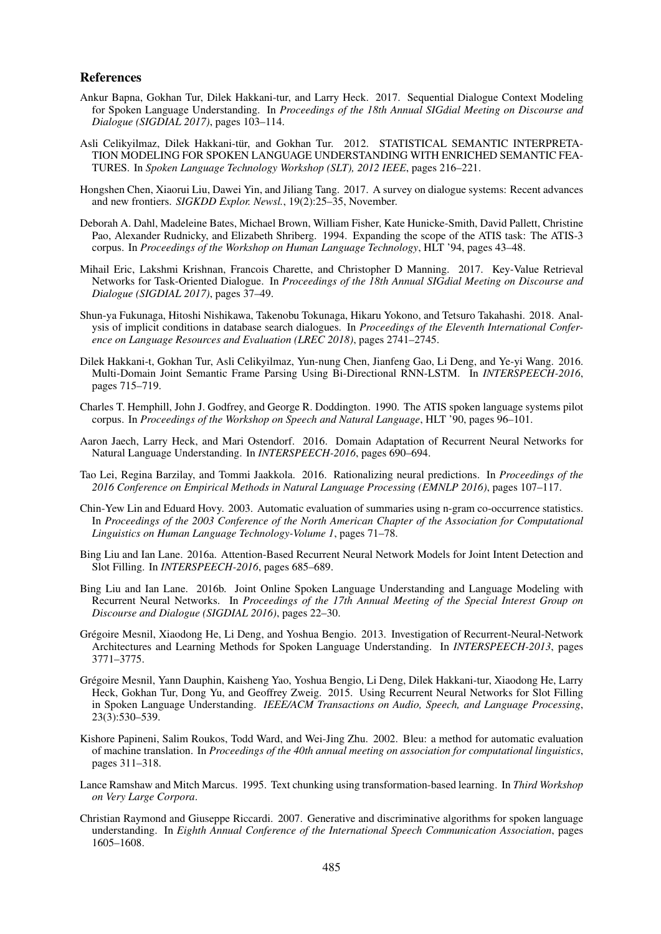#### References

- Ankur Bapna, Gokhan Tur, Dilek Hakkani-tur, and Larry Heck. 2017. Sequential Dialogue Context Modeling for Spoken Language Understanding. In *Proceedings of the 18th Annual SIGdial Meeting on Discourse and Dialogue (SIGDIAL 2017)*, pages 103–114.
- Asli Celikyilmaz, Dilek Hakkani-tür, and Gokhan Tur. 2012. STATISTICAL SEMANTIC INTERPRETA-TION MODELING FOR SPOKEN LANGUAGE UNDERSTANDING WITH ENRICHED SEMANTIC FEA-TURES. In *Spoken Language Technology Workshop (SLT), 2012 IEEE*, pages 216–221.
- Hongshen Chen, Xiaorui Liu, Dawei Yin, and Jiliang Tang. 2017. A survey on dialogue systems: Recent advances and new frontiers. *SIGKDD Explor. Newsl.*, 19(2):25–35, November.
- Deborah A. Dahl, Madeleine Bates, Michael Brown, William Fisher, Kate Hunicke-Smith, David Pallett, Christine Pao, Alexander Rudnicky, and Elizabeth Shriberg. 1994. Expanding the scope of the ATIS task: The ATIS-3 corpus. In *Proceedings of the Workshop on Human Language Technology*, HLT '94, pages 43–48.
- Mihail Eric, Lakshmi Krishnan, Francois Charette, and Christopher D Manning. 2017. Key-Value Retrieval Networks for Task-Oriented Dialogue. In *Proceedings of the 18th Annual SIGdial Meeting on Discourse and Dialogue (SIGDIAL 2017)*, pages 37–49.
- Shun-ya Fukunaga, Hitoshi Nishikawa, Takenobu Tokunaga, Hikaru Yokono, and Tetsuro Takahashi. 2018. Analysis of implicit conditions in database search dialogues. In *Proceedings of the Eleventh International Conference on Language Resources and Evaluation (LREC 2018)*, pages 2741–2745.
- Dilek Hakkani-t, Gokhan Tur, Asli Celikyilmaz, Yun-nung Chen, Jianfeng Gao, Li Deng, and Ye-yi Wang. 2016. Multi-Domain Joint Semantic Frame Parsing Using Bi-Directional RNN-LSTM. In *INTERSPEECH-2016*, pages 715–719.
- Charles T. Hemphill, John J. Godfrey, and George R. Doddington. 1990. The ATIS spoken language systems pilot corpus. In *Proceedings of the Workshop on Speech and Natural Language*, HLT '90, pages 96–101.
- Aaron Jaech, Larry Heck, and Mari Ostendorf. 2016. Domain Adaptation of Recurrent Neural Networks for Natural Language Understanding. In *INTERSPEECH-2016*, pages 690–694.
- Tao Lei, Regina Barzilay, and Tommi Jaakkola. 2016. Rationalizing neural predictions. In *Proceedings of the 2016 Conference on Empirical Methods in Natural Language Processing (EMNLP 2016)*, pages 107–117.
- Chin-Yew Lin and Eduard Hovy. 2003. Automatic evaluation of summaries using n-gram co-occurrence statistics. In *Proceedings of the 2003 Conference of the North American Chapter of the Association for Computational Linguistics on Human Language Technology-Volume 1*, pages 71–78.
- Bing Liu and Ian Lane. 2016a. Attention-Based Recurrent Neural Network Models for Joint Intent Detection and Slot Filling. In *INTERSPEECH-2016*, pages 685–689.
- Bing Liu and Ian Lane. 2016b. Joint Online Spoken Language Understanding and Language Modeling with Recurrent Neural Networks. In *Proceedings of the 17th Annual Meeting of the Special Interest Group on Discourse and Dialogue (SIGDIAL 2016)*, pages 22–30.
- Grégoire Mesnil, Xiaodong He, Li Deng, and Yoshua Bengio. 2013. Investigation of Recurrent-Neural-Network Architectures and Learning Methods for Spoken Language Understanding. In *INTERSPEECH-2013*, pages 3771–3775.
- Gregoire Mesnil, Yann Dauphin, Kaisheng Yao, Yoshua Bengio, Li Deng, Dilek Hakkani-tur, Xiaodong He, Larry ´ Heck, Gokhan Tur, Dong Yu, and Geoffrey Zweig. 2015. Using Recurrent Neural Networks for Slot Filling in Spoken Language Understanding. *IEEE/ACM Transactions on Audio, Speech, and Language Processing*, 23(3):530–539.
- Kishore Papineni, Salim Roukos, Todd Ward, and Wei-Jing Zhu. 2002. Bleu: a method for automatic evaluation of machine translation. In *Proceedings of the 40th annual meeting on association for computational linguistics*, pages 311–318.
- Lance Ramshaw and Mitch Marcus. 1995. Text chunking using transformation-based learning. In *Third Workshop on Very Large Corpora*.
- Christian Raymond and Giuseppe Riccardi. 2007. Generative and discriminative algorithms for spoken language understanding. In *Eighth Annual Conference of the International Speech Communication Association*, pages 1605–1608.